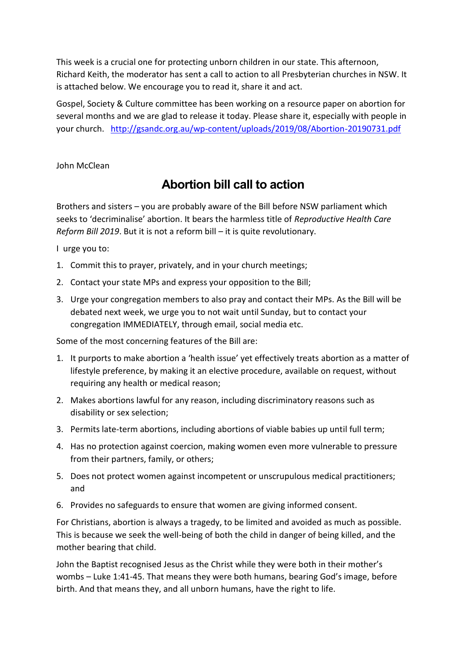This week is a crucial one for protecting unborn children in our state. This afternoon, Richard Keith, the moderator has sent a call to action to all Presbyterian churches in NSW. It is attached below. We encourage you to read it, share it and act.

Gospel, Society & Culture committee has been working on a resource paper on abortion for several months and we are glad to release it today. Please share it, especially with people in your church. <http://gsandc.org.au/wp-content/uploads/2019/08/Abortion-20190731.pdf>

John McClean

## **Abortion bill call to action**

Brothers and sisters – you are probably aware of the Bill before NSW parliament which seeks to 'decriminalise' abortion. It bears the harmless title of *Reproductive Health Care Reform Bill 2019*. But it is not a reform bill – it is quite revolutionary.

I urge you to:

- 1. Commit this to prayer, privately, and in your church meetings;
- 2. Contact your state MPs and express your opposition to the Bill;
- 3. Urge your congregation members to also pray and contact their MPs. As the Bill will be debated next week, we urge you to not wait until Sunday, but to contact your congregation IMMEDIATELY, through email, social media etc.

Some of the most concerning features of the Bill are:

- 1. It purports to make abortion a 'health issue' yet effectively treats abortion as a matter of lifestyle preference, by making it an elective procedure, available on request, without requiring any health or medical reason;
- 2. Makes abortions lawful for any reason, including discriminatory reasons such as disability or sex selection;
- 3. Permits late-term abortions, including abortions of viable babies up until full term;
- 4. Has no protection against coercion, making women even more vulnerable to pressure from their partners, family, or others;
- 5. Does not protect women against incompetent or unscrupulous medical practitioners; and
- 6. Provides no safeguards to ensure that women are giving informed consent.

For Christians, abortion is always a tragedy, to be limited and avoided as much as possible. This is because we seek the well-being of both the child in danger of being killed, and the mother bearing that child.

John the Baptist recognised Jesus as the Christ while they were both in their mother's wombs – Luke 1:41-45. That means they were both humans, bearing God's image, before birth. And that means they, and all unborn humans, have the right to life.